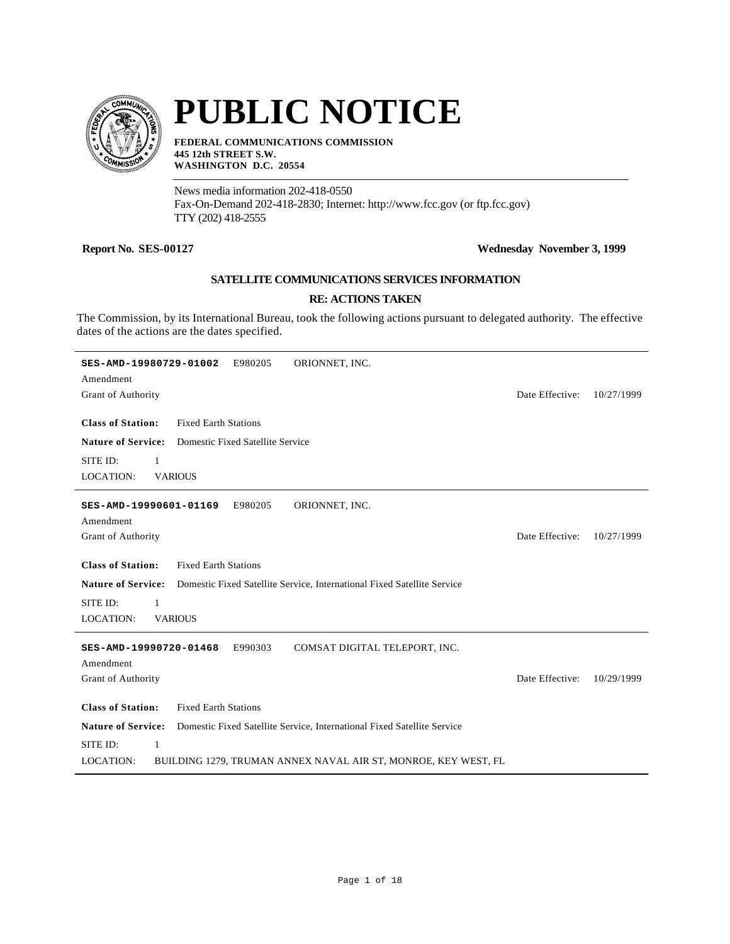

# **PUBLIC NOTICE**

**FEDERAL COMMUNICATIONS COMMISSION 445 12th STREET S.W. WASHINGTON D.C. 20554**

News media information 202-418-0550 Fax-On-Demand 202-418-2830; Internet: http://www.fcc.gov (or ftp.fcc.gov) TTY (202) 418-2555

## **Report No. SES-00127 Wednesday November 3, 1999**

## **SATELLITE COMMUNICATIONS SERVICES INFORMATION**

#### **RE: ACTIONS TAKEN**

The Commission, by its International Bureau, took the following actions pursuant to delegated authority. The effective dates of the actions are the dates specified.

| ORIONNET, INC.<br>SES-AMD-19980729-01002<br>E980205                                                  |                 |            |
|------------------------------------------------------------------------------------------------------|-----------------|------------|
| Amendment                                                                                            |                 |            |
| Grant of Authority                                                                                   | Date Effective: | 10/27/1999 |
|                                                                                                      |                 |            |
| <b>Class of Station:</b><br><b>Fixed Earth Stations</b>                                              |                 |            |
| <b>Nature of Service:</b><br>Domestic Fixed Satellite Service                                        |                 |            |
| SITE ID:<br>$\mathbf{1}$                                                                             |                 |            |
| <b>LOCATION:</b><br><b>VARIOUS</b>                                                                   |                 |            |
| E980205<br>ORIONNET, INC.<br>SES-AMD-19990601-01169                                                  |                 |            |
| Amendment                                                                                            |                 |            |
| Grant of Authority                                                                                   | Date Effective: | 10/27/1999 |
|                                                                                                      |                 |            |
| <b>Class of Station:</b><br><b>Fixed Earth Stations</b>                                              |                 |            |
| <b>Nature of Service:</b><br>Domestic Fixed Satellite Service, International Fixed Satellite Service |                 |            |
| SITE ID:<br>1                                                                                        |                 |            |
| <b>LOCATION:</b><br><b>VARIOUS</b>                                                                   |                 |            |
| COMSAT DIGITAL TELEPORT, INC.<br>E990303<br>SES-AMD-19990720-01468                                   |                 |            |
| Amendment                                                                                            |                 |            |
| Grant of Authority                                                                                   | Date Effective: | 10/29/1999 |
|                                                                                                      |                 |            |
| <b>Class of Station:</b><br><b>Fixed Earth Stations</b>                                              |                 |            |
| <b>Nature of Service:</b><br>Domestic Fixed Satellite Service, International Fixed Satellite Service |                 |            |
| SITE ID:<br>$\mathbf{1}$                                                                             |                 |            |
| <b>LOCATION:</b><br>BUILDING 1279, TRUMAN ANNEX NAVAL AIR ST, MONROE, KEY WEST, FL                   |                 |            |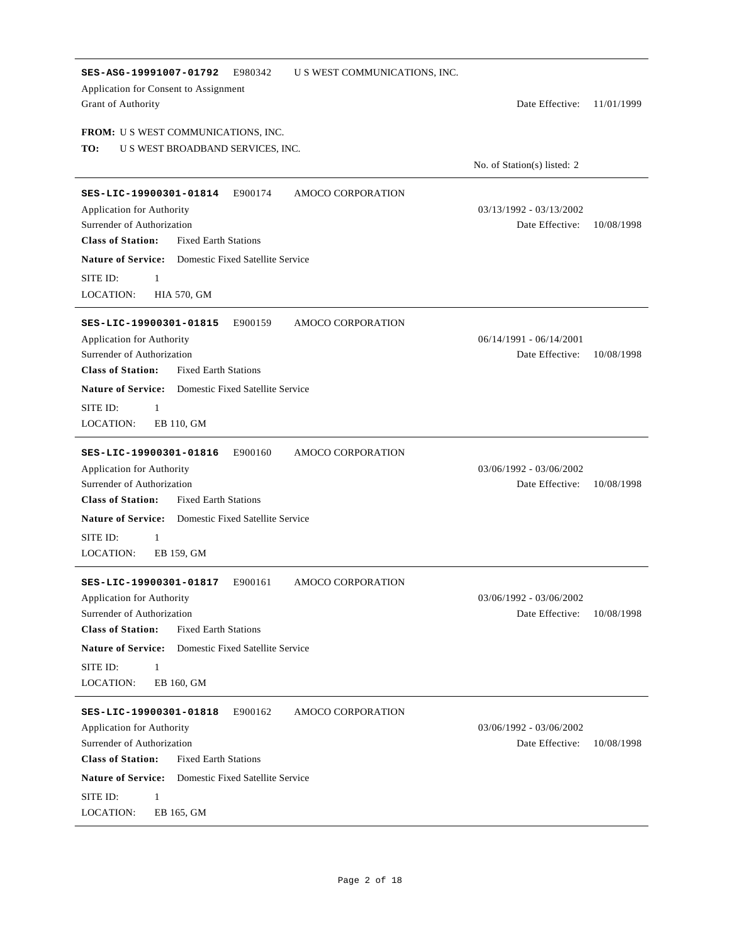| SES-ASG-19991007-01792<br>E980342<br>Application for Consent to Assignment<br>Grant of Authority                                                                                                                                                                                | U S WEST COMMUNICATIONS, INC. | Date Effective:                              | 11/01/1999 |
|---------------------------------------------------------------------------------------------------------------------------------------------------------------------------------------------------------------------------------------------------------------------------------|-------------------------------|----------------------------------------------|------------|
| <b>FROM:</b> U S WEST COMMUNICATIONS, INC.<br>TO:<br>U S WEST BROADBAND SERVICES, INC.                                                                                                                                                                                          |                               | No. of Station(s) listed: 2                  |            |
| E900174<br>SES-LIC-19900301-01814<br>Application for Authority<br>Surrender of Authorization<br><b>Class of Station:</b><br><b>Fixed Earth Stations</b><br><b>Nature of Service:</b> Domestic Fixed Satellite Service<br>SITE ID:<br>1<br>LOCATION:<br><b>HIA 570, GM</b>       | AMOCO CORPORATION             | 03/13/1992 - 03/13/2002<br>Date Effective:   | 10/08/1998 |
| E900159<br>SES-LIC-19900301-01815<br>Application for Authority<br>Surrender of Authorization<br><b>Class of Station:</b><br><b>Fixed Earth Stations</b><br><b>Nature of Service:</b> Domestic Fixed Satellite Service<br>SITE ID:<br>1<br>LOCATION:<br>EB 110, GM               | AMOCO CORPORATION             | $06/14/1991 - 06/14/2001$<br>Date Effective: | 10/08/1998 |
| E900160<br>SES-LIC-19900301-01816<br>Application for Authority<br>Surrender of Authorization<br><b>Class of Station:</b><br><b>Fixed Earth Stations</b><br><b>Nature of Service:</b> Domestic Fixed Satellite Service<br>SITE ID:<br>$\mathbf{1}$<br>LOCATION:<br>EB 159, GM    | AMOCO CORPORATION             | 03/06/1992 - 03/06/2002<br>Date Effective:   | 10/08/1998 |
| E900161<br>SES-LIC-19900301-01817<br>Application for Authority<br>Surrender of Authorization<br><b>Class of Station:</b><br><b>Fixed Earth Stations</b><br><b>Nature of Service:</b> Domestic Fixed Satellite Service<br>SITE ID:<br>$\mathbf{1}$<br>LOCATION:<br>EB 160, GM    | AMOCO CORPORATION             | 03/06/1992 - 03/06/2002<br>Date Effective:   | 10/08/1998 |
| SES-LIC-19900301-01818<br>E900162<br>Application for Authority<br>Surrender of Authorization<br><b>Class of Station:</b><br><b>Fixed Earth Stations</b><br><b>Nature of Service:</b><br>Domestic Fixed Satellite Service<br>SITE ID:<br>$\mathbf{1}$<br>LOCATION:<br>EB 165, GM | AMOCO CORPORATION             | 03/06/1992 - 03/06/2002<br>Date Effective:   | 10/08/1998 |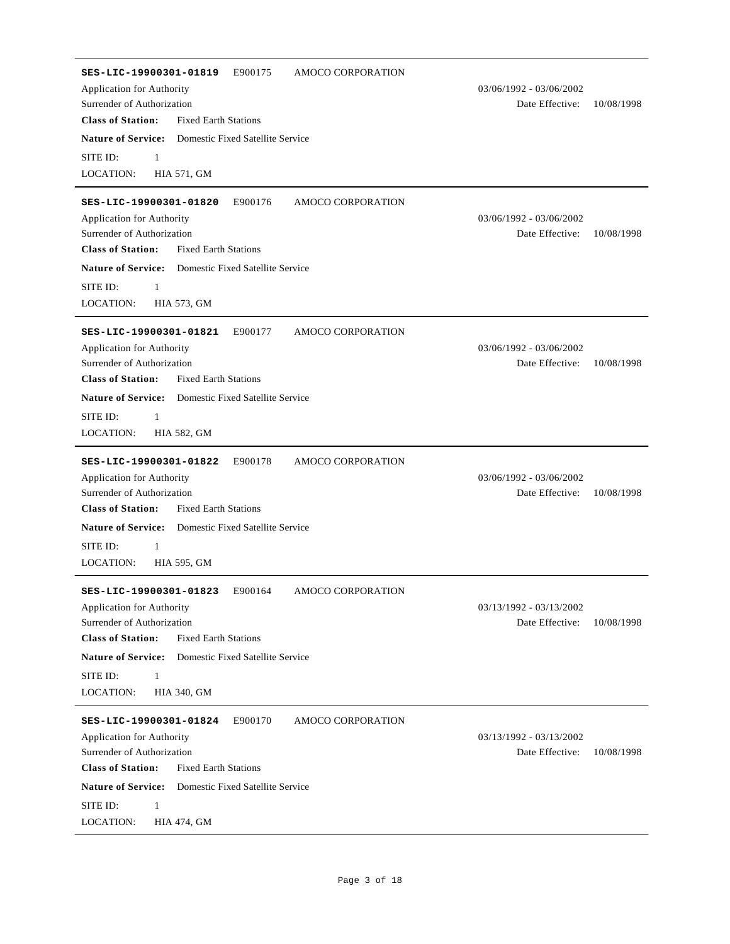| SES-LIC-19900301-01819<br>E900175<br>AMOCO CORPORATION<br>Application for Authority<br>Surrender of Authorization<br><b>Class of Station:</b><br><b>Fixed Earth Stations</b><br><b>Nature of Service:</b> Domestic Fixed Satellite Service<br>SITE ID:<br>$\mathbf{1}$<br><b>LOCATION:</b><br><b>HIA 571, GM</b> | 03/06/1992 - 03/06/2002<br>Date Effective:   | 10/08/1998 |
|------------------------------------------------------------------------------------------------------------------------------------------------------------------------------------------------------------------------------------------------------------------------------------------------------------------|----------------------------------------------|------------|
| SES-LIC-19900301-01820<br>E900176<br>AMOCO CORPORATION<br>Application for Authority<br>Surrender of Authorization<br><b>Class of Station:</b><br><b>Fixed Earth Stations</b><br><b>Nature of Service:</b> Domestic Fixed Satellite Service<br>SITE ID:<br>1<br>LOCATION:<br><b>HIA 573, GM</b>                   | 03/06/1992 - 03/06/2002<br>Date Effective:   | 10/08/1998 |
| E900177<br>SES-LIC-19900301-01821<br>AMOCO CORPORATION<br>Application for Authority<br>Surrender of Authorization<br><b>Class of Station:</b><br><b>Fixed Earth Stations</b><br><b>Nature of Service:</b><br>Domestic Fixed Satellite Service<br>SITE ID:<br>1<br><b>LOCATION:</b><br><b>HIA 582, GM</b>         | $03/06/1992 - 03/06/2002$<br>Date Effective: | 10/08/1998 |
| E900178<br>SES-LIC-19900301-01822<br>AMOCO CORPORATION<br>Application for Authority<br>Surrender of Authorization<br><b>Class of Station:</b><br><b>Fixed Earth Stations</b><br><b>Nature of Service:</b> Domestic Fixed Satellite Service<br>SITE ID:<br>1<br><b>LOCATION:</b><br><b>HIA 595, GM</b>            | 03/06/1992 - 03/06/2002<br>Date Effective:   | 10/08/1998 |
| E900164<br>AMOCO CORPORATION<br>SES-LIC-19900301-01823<br>Application for Authority<br>Surrender of Authorization<br><b>Class of Station:</b><br><b>Fixed Earth Stations</b><br><b>Nature of Service:</b><br>Domestic Fixed Satellite Service<br>SITE ID:<br>$\mathbf{1}$<br>LOCATION:<br><b>HIA 340, GM</b>     | 03/13/1992 - 03/13/2002<br>Date Effective:   | 10/08/1998 |
| E900170<br>AMOCO CORPORATION<br>SES-LIC-19900301-01824<br>Application for Authority<br>Surrender of Authorization<br><b>Class of Station:</b><br><b>Fixed Earth Stations</b><br><b>Nature of Service:</b><br>Domestic Fixed Satellite Service<br>SITE ID:<br>1<br>LOCATION:<br><b>HIA 474, GM</b>                | 03/13/1992 - 03/13/2002<br>Date Effective:   | 10/08/1998 |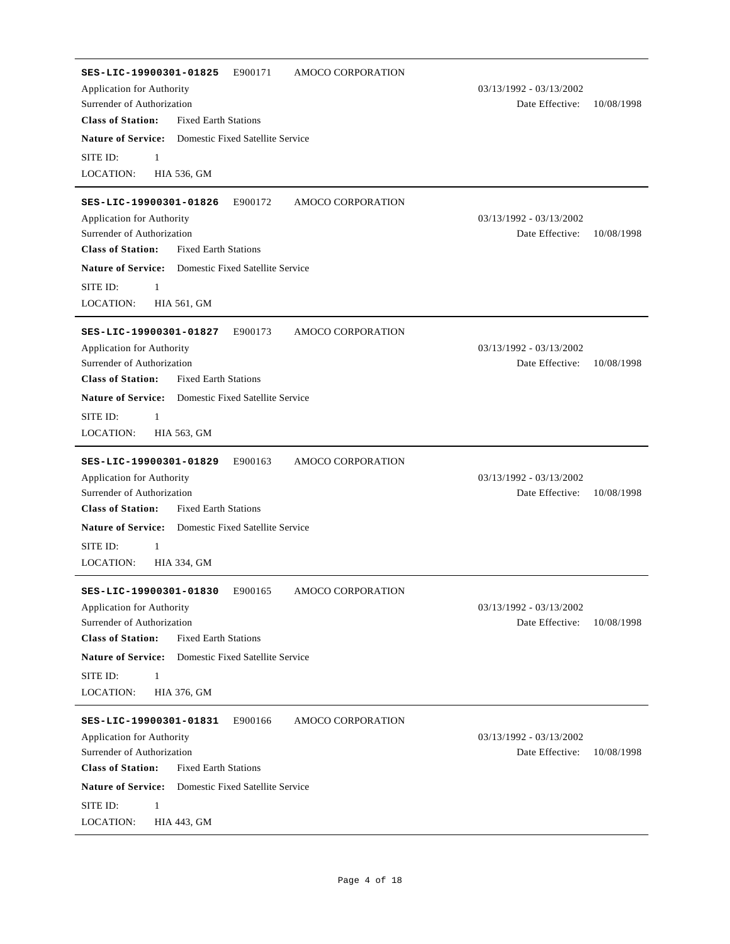| E900171<br>AMOCO CORPORATION<br>SES-LIC-19900301-01825<br><b>Application for Authority</b><br>Surrender of Authorization                                                                                                                   | 03/13/1992 - 03/13/2002<br>Date Effective: | 10/08/1998 |
|--------------------------------------------------------------------------------------------------------------------------------------------------------------------------------------------------------------------------------------------|--------------------------------------------|------------|
| <b>Class of Station:</b><br><b>Fixed Earth Stations</b>                                                                                                                                                                                    |                                            |            |
| <b>Nature of Service:</b> Domestic Fixed Satellite Service                                                                                                                                                                                 |                                            |            |
| SITE ID:<br>$\mathbf{1}$                                                                                                                                                                                                                   |                                            |            |
| LOCATION:<br><b>HIA 536, GM</b>                                                                                                                                                                                                            |                                            |            |
|                                                                                                                                                                                                                                            |                                            |            |
| SES-LIC-19900301-01826<br>E900172<br>AMOCO CORPORATION                                                                                                                                                                                     |                                            |            |
| Application for Authority                                                                                                                                                                                                                  | $03/13/1992 - 03/13/2002$                  |            |
| Surrender of Authorization                                                                                                                                                                                                                 | Date Effective:                            | 10/08/1998 |
| <b>Class of Station:</b><br><b>Fixed Earth Stations</b>                                                                                                                                                                                    |                                            |            |
| <b>Nature of Service:</b><br><b>Domestic Fixed Satellite Service</b>                                                                                                                                                                       |                                            |            |
| SITE ID:<br>$\mathbf{1}$                                                                                                                                                                                                                   |                                            |            |
| LOCATION:<br><b>HIA 561, GM</b>                                                                                                                                                                                                            |                                            |            |
| E900173<br>SES-LIC-19900301-01827<br>AMOCO CORPORATION                                                                                                                                                                                     |                                            |            |
| Application for Authority                                                                                                                                                                                                                  | $03/13/1992 - 03/13/2002$                  |            |
| Surrender of Authorization                                                                                                                                                                                                                 | Date Effective:                            | 10/08/1998 |
| <b>Class of Station:</b><br><b>Fixed Earth Stations</b>                                                                                                                                                                                    |                                            |            |
| <b>Nature of Service:</b><br><b>Domestic Fixed Satellite Service</b>                                                                                                                                                                       |                                            |            |
| SITE ID:<br>1                                                                                                                                                                                                                              |                                            |            |
| LOCATION:<br>HIA 563, GM                                                                                                                                                                                                                   |                                            |            |
| E900163<br>AMOCO CORPORATION<br>SES-LIC-19900301-01829<br>Application for Authority<br>Surrender of Authorization<br><b>Class of Station:</b><br><b>Fixed Earth Stations</b><br><b>Nature of Service:</b> Domestic Fixed Satellite Service | 03/13/1992 - 03/13/2002<br>Date Effective: | 10/08/1998 |
| SITE ID:<br>$\mathbf{1}$                                                                                                                                                                                                                   |                                            |            |
| LOCATION:<br>HIA 334, GM                                                                                                                                                                                                                   |                                            |            |
| E900165<br>AMOCO CORPORATION<br>SES-LIC-19900301-01830<br>Application for Authority<br>Surrender of Authorization                                                                                                                          | 03/13/1992 - 03/13/2002<br>Date Effective: | 10/08/1998 |
| <b>Class of Station:</b><br><b>Fixed Earth Stations</b>                                                                                                                                                                                    |                                            |            |
| <b>Nature of Service:</b><br>Domestic Fixed Satellite Service                                                                                                                                                                              |                                            |            |
|                                                                                                                                                                                                                                            |                                            |            |
| SITE ID:<br>1                                                                                                                                                                                                                              |                                            |            |
| <b>LOCATION:</b><br>HIA 376, GM                                                                                                                                                                                                            |                                            |            |
| SES-LIC-19900301-01831<br>E900166<br>AMOCO CORPORATION                                                                                                                                                                                     |                                            |            |
| Application for Authority                                                                                                                                                                                                                  | $03/13/1992 - 03/13/2002$                  |            |
| Surrender of Authorization                                                                                                                                                                                                                 | Date Effective:                            | 10/08/1998 |
| <b>Class of Station:</b><br><b>Fixed Earth Stations</b>                                                                                                                                                                                    |                                            |            |
| <b>Nature of Service:</b><br>Domestic Fixed Satellite Service                                                                                                                                                                              |                                            |            |
| SITE ID:<br>$\mathbf{1}$<br>LOCATION:<br><b>HIA 443, GM</b>                                                                                                                                                                                |                                            |            |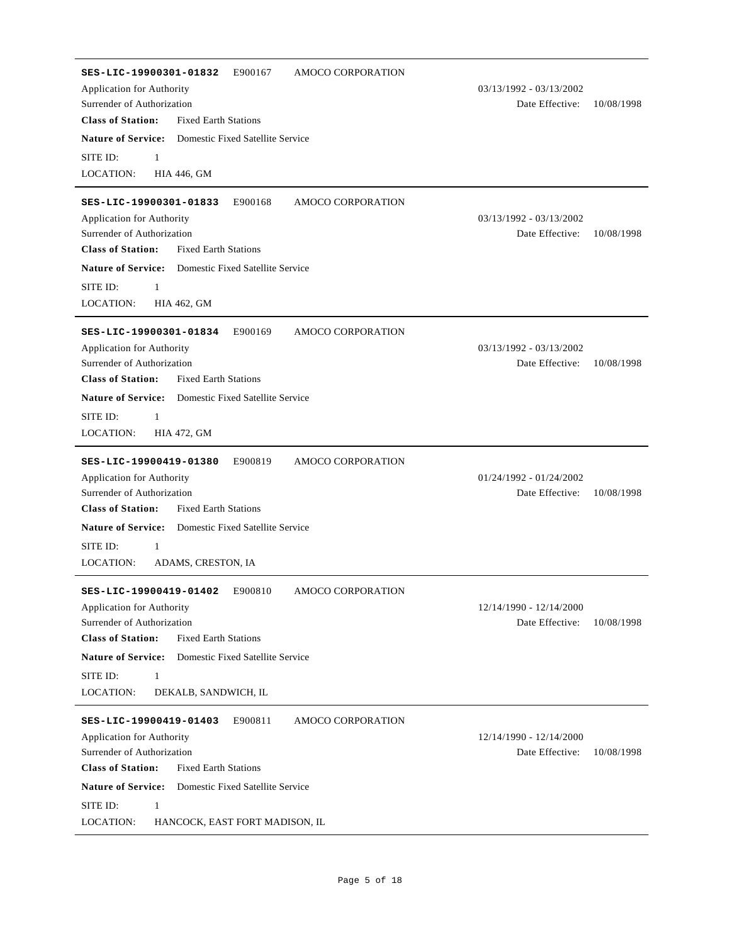| E900167<br>AMOCO CORPORATION<br>SES-LIC-19900301-01832<br>Application for Authority<br>Surrender of Authorization<br><b>Class of Station:</b><br><b>Fixed Earth Stations</b> | $03/13/1992 - 03/13/2002$<br>Date Effective: | 10/08/1998 |
|------------------------------------------------------------------------------------------------------------------------------------------------------------------------------|----------------------------------------------|------------|
| <b>Nature of Service:</b> Domestic Fixed Satellite Service<br>SITE ID:<br>$\mathbf{1}$<br><b>LOCATION:</b><br><b>HIA 446, GM</b>                                             |                                              |            |
| E900168<br>SES-LIC-19900301-01833<br>AMOCO CORPORATION<br>Application for Authority<br>Surrender of Authorization<br><b>Class of Station:</b><br><b>Fixed Earth Stations</b> | $03/13/1992 - 03/13/2002$<br>Date Effective: | 10/08/1998 |
| <b>Nature of Service:</b><br><b>Domestic Fixed Satellite Service</b><br>SITE ID:<br>1<br><b>LOCATION:</b><br><b>HIA 462, GM</b>                                              |                                              |            |
| E900169<br>AMOCO CORPORATION<br>SES-LIC-19900301-01834<br>Application for Authority<br>Surrender of Authorization<br><b>Class of Station:</b><br><b>Fixed Earth Stations</b> | $03/13/1992 - 03/13/2002$<br>Date Effective: | 10/08/1998 |
| <b>Nature of Service:</b> Domestic Fixed Satellite Service<br>SITE ID:<br>1<br>LOCATION:<br><b>HIA 472, GM</b>                                                               |                                              |            |
| E900819<br>AMOCO CORPORATION<br>SES-LIC-19900419-01380<br>Application for Authority<br>Surrender of Authorization<br><b>Class of Station:</b><br><b>Fixed Earth Stations</b> | $01/24/1992 - 01/24/2002$<br>Date Effective: | 10/08/1998 |
| <b>Nature of Service:</b><br>Domestic Fixed Satellite Service<br>SITE ID:<br>1<br><b>LOCATION:</b><br>ADAMS, CRESTON, IA                                                     |                                              |            |
| SES-LIC-19900419-01402<br>E900810<br>AMOCO CORPORATION<br>Application for Authority<br>Surrender of Authorization<br><b>Class of Station:</b><br><b>Fixed Earth Stations</b> | 12/14/1990 - 12/14/2000<br>Date Effective:   | 10/08/1998 |
| <b>Nature of Service:</b><br>Domestic Fixed Satellite Service<br>SITE ID:<br>1<br><b>LOCATION:</b><br>DEKALB, SANDWICH, IL                                                   |                                              |            |
| SES-LIC-19900419-01403<br>E900811<br>AMOCO CORPORATION<br>Application for Authority<br>Surrender of Authorization<br><b>Class of Station:</b><br><b>Fixed Earth Stations</b> | 12/14/1990 - 12/14/2000<br>Date Effective:   | 10/08/1998 |
| <b>Nature of Service:</b><br>Domestic Fixed Satellite Service<br>SITE ID:<br>1<br>LOCATION:<br>HANCOCK, EAST FORT MADISON, IL                                                |                                              |            |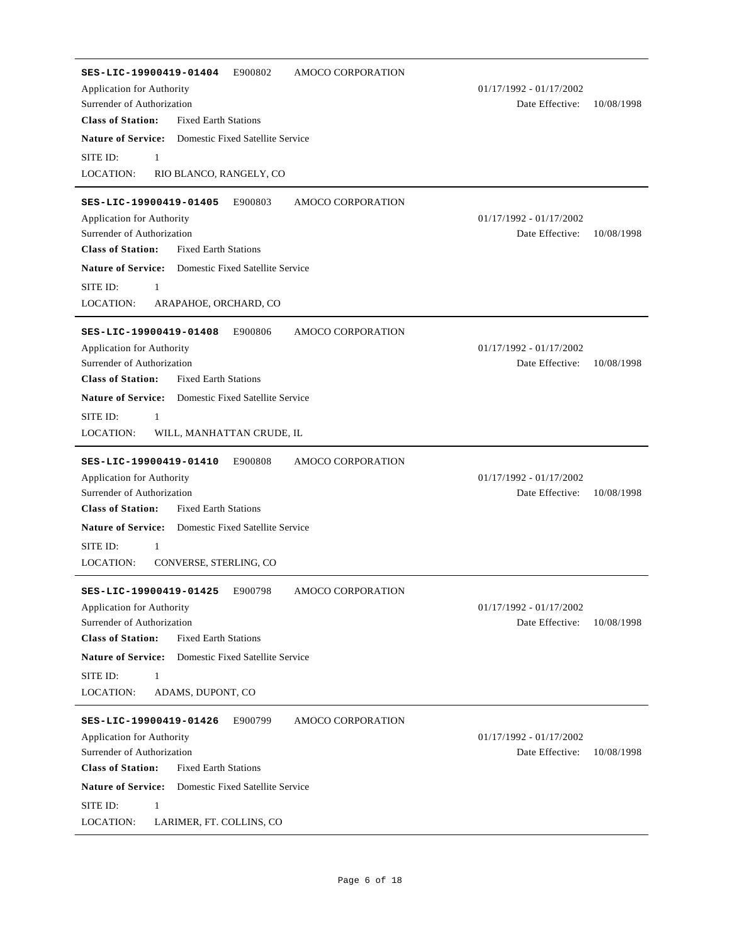| E900802<br><b>AMOCO CORPORATION</b><br>SES-LIC-19900419-01404        |                           |            |
|----------------------------------------------------------------------|---------------------------|------------|
| <b>Application for Authority</b>                                     | $01/17/1992 - 01/17/2002$ |            |
| Surrender of Authorization                                           | Date Effective:           | 10/08/1998 |
| <b>Class of Station:</b><br><b>Fixed Earth Stations</b>              |                           |            |
| <b>Nature of Service:</b> Domestic Fixed Satellite Service           |                           |            |
| SITE ID:<br>$\mathbf{1}$                                             |                           |            |
| <b>LOCATION:</b><br>RIO BLANCO, RANGELY, CO                          |                           |            |
| SES-LIC-19900419-01405<br>E900803<br>AMOCO CORPORATION               |                           |            |
| Application for Authority                                            | $01/17/1992 - 01/17/2002$ |            |
| Surrender of Authorization                                           | Date Effective:           | 10/08/1998 |
| <b>Class of Station:</b><br><b>Fixed Earth Stations</b>              |                           |            |
| <b>Nature of Service:</b><br><b>Domestic Fixed Satellite Service</b> |                           |            |
|                                                                      |                           |            |
| SITE ID:<br>1                                                        |                           |            |
| LOCATION:<br>ARAPAHOE, ORCHARD, CO                                   |                           |            |
| E900806<br>AMOCO CORPORATION<br>SES-LIC-19900419-01408               |                           |            |
| Application for Authority                                            | $01/17/1992 - 01/17/2002$ |            |
| Surrender of Authorization                                           | Date Effective:           | 10/08/1998 |
| <b>Class of Station:</b><br><b>Fixed Earth Stations</b>              |                           |            |
| <b>Nature of Service:</b><br><b>Domestic Fixed Satellite Service</b> |                           |            |
| SITE ID:<br>1                                                        |                           |            |
| LOCATION:<br>WILL, MANHATTAN CRUDE, IL                               |                           |            |
|                                                                      |                           |            |
| E900808<br>AMOCO CORPORATION<br>SES-LIC-19900419-01410               |                           |            |
| Application for Authority                                            | $01/17/1992 - 01/17/2002$ |            |
| Surrender of Authorization                                           | Date Effective:           | 10/08/1998 |
| <b>Class of Station:</b><br><b>Fixed Earth Stations</b>              |                           |            |
| <b>Nature of Service:</b><br><b>Domestic Fixed Satellite Service</b> |                           |            |
| SITE ID:<br>1                                                        |                           |            |
| <b>LOCATION:</b><br>CONVERSE, STERLING, CO                           |                           |            |
| E900798<br>AMOCO CORPORATION<br>SES-LIC-19900419-01425               |                           |            |
| Application for Authority                                            | $01/17/1992 - 01/17/2002$ |            |
| Surrender of Authorization                                           | Date Effective:           | 10/08/1998 |
| <b>Class of Station:</b><br><b>Fixed Earth Stations</b>              |                           |            |
| <b>Nature of Service:</b><br>Domestic Fixed Satellite Service        |                           |            |
| SITE ID:<br>$\mathbf{1}$                                             |                           |            |
| <b>LOCATION:</b><br>ADAMS, DUPONT, CO                                |                           |            |
|                                                                      |                           |            |
| SES-LIC-19900419-01426<br>E900799<br><b>AMOCO CORPORATION</b>        |                           |            |
| Application for Authority                                            | $01/17/1992 - 01/17/2002$ |            |
| Surrender of Authorization                                           | Date Effective:           | 10/08/1998 |
| <b>Class of Station:</b><br><b>Fixed Earth Stations</b>              |                           |            |
| <b>Nature of Service:</b><br>Domestic Fixed Satellite Service        |                           |            |
| SITE ID:<br>$\mathbf{1}$                                             |                           |            |
| LOCATION:<br>LARIMER, FT. COLLINS, CO                                |                           |            |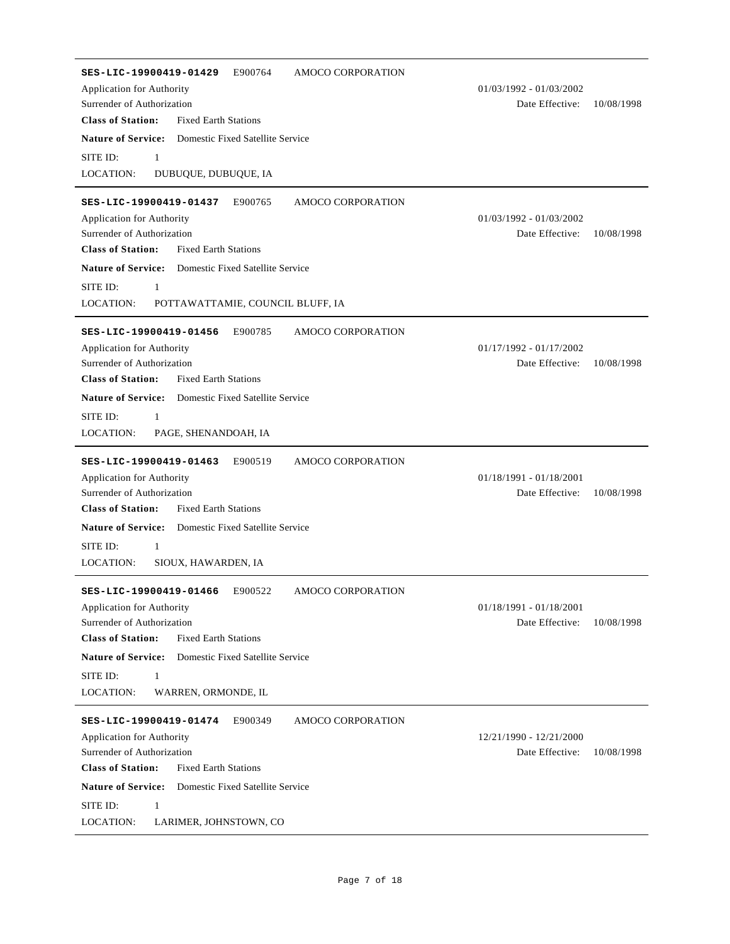| AMOCO CORPORATION<br>SES-LIC-19900419-01429<br>E900764               |                           |            |
|----------------------------------------------------------------------|---------------------------|------------|
| Application for Authority                                            | $01/03/1992 - 01/03/2002$ |            |
| Surrender of Authorization                                           | Date Effective:           | 10/08/1998 |
| <b>Class of Station:</b><br><b>Fixed Earth Stations</b>              |                           |            |
| <b>Nature of Service:</b> Domestic Fixed Satellite Service           |                           |            |
| SITE ID:<br>1                                                        |                           |            |
| <b>LOCATION:</b><br>DUBUQUE, DUBUQUE, IA                             |                           |            |
|                                                                      |                           |            |
| SES-LIC-19900419-01437<br>E900765<br>AMOCO CORPORATION               |                           |            |
| Application for Authority                                            | 01/03/1992 - 01/03/2002   |            |
| Surrender of Authorization                                           | Date Effective:           | 10/08/1998 |
| <b>Class of Station:</b><br><b>Fixed Earth Stations</b>              |                           |            |
| <b>Nature of Service:</b> Domestic Fixed Satellite Service           |                           |            |
| SITE ID:<br>1                                                        |                           |            |
| <b>LOCATION:</b><br>POTTAWATTAMIE, COUNCIL BLUFF, IA                 |                           |            |
| E900785<br>AMOCO CORPORATION<br>SES-LIC-19900419-01456               |                           |            |
| Application for Authority                                            | $01/17/1992 - 01/17/2002$ |            |
| Surrender of Authorization                                           | Date Effective:           | 10/08/1998 |
| <b>Class of Station:</b><br><b>Fixed Earth Stations</b>              |                           |            |
| <b>Nature of Service:</b> Domestic Fixed Satellite Service           |                           |            |
| SITE ID:<br>1                                                        |                           |            |
| <b>LOCATION:</b><br>PAGE, SHENANDOAH, IA                             |                           |            |
|                                                                      |                           |            |
| E900519<br>AMOCO CORPORATION<br>SES-LIC-19900419-01463               |                           |            |
| Application for Authority                                            | 01/18/1991 - 01/18/2001   |            |
| Surrender of Authorization                                           | Date Effective:           | 10/08/1998 |
| <b>Class of Station:</b><br><b>Fixed Earth Stations</b>              |                           |            |
| <b>Nature of Service:</b><br><b>Domestic Fixed Satellite Service</b> |                           |            |
| SITE ID:<br>1                                                        |                           |            |
| LOCATION:<br>SIOUX, HAWARDEN, IA                                     |                           |            |
|                                                                      |                           |            |
| E900522<br>AMOCO CORPORATION<br>SES-LIC-19900419-01466               | 01/18/1991 - 01/18/2001   |            |
| Application for Authority<br>Surrender of Authorization              | Date Effective:           | 10/08/1998 |
| <b>Class of Station:</b><br><b>Fixed Earth Stations</b>              |                           |            |
| <b>Nature of Service:</b><br>Domestic Fixed Satellite Service        |                           |            |
| $\mathbf{1}$                                                         |                           |            |
| SITE ID:<br><b>LOCATION:</b><br>WARREN, ORMONDE, IL                  |                           |            |
|                                                                      |                           |            |
| SES-LIC-19900419-01474<br>E900349<br>AMOCO CORPORATION               |                           |            |
| Application for Authority                                            | 12/21/1990 - 12/21/2000   |            |
| Surrender of Authorization                                           | Date Effective:           | 10/08/1998 |
| <b>Class of Station:</b><br><b>Fixed Earth Stations</b>              |                           |            |
| <b>Nature of Service:</b><br>Domestic Fixed Satellite Service        |                           |            |
| SITE ID:<br>$\mathbf{1}$                                             |                           |            |
| LOCATION:<br>LARIMER, JOHNSTOWN, CO                                  |                           |            |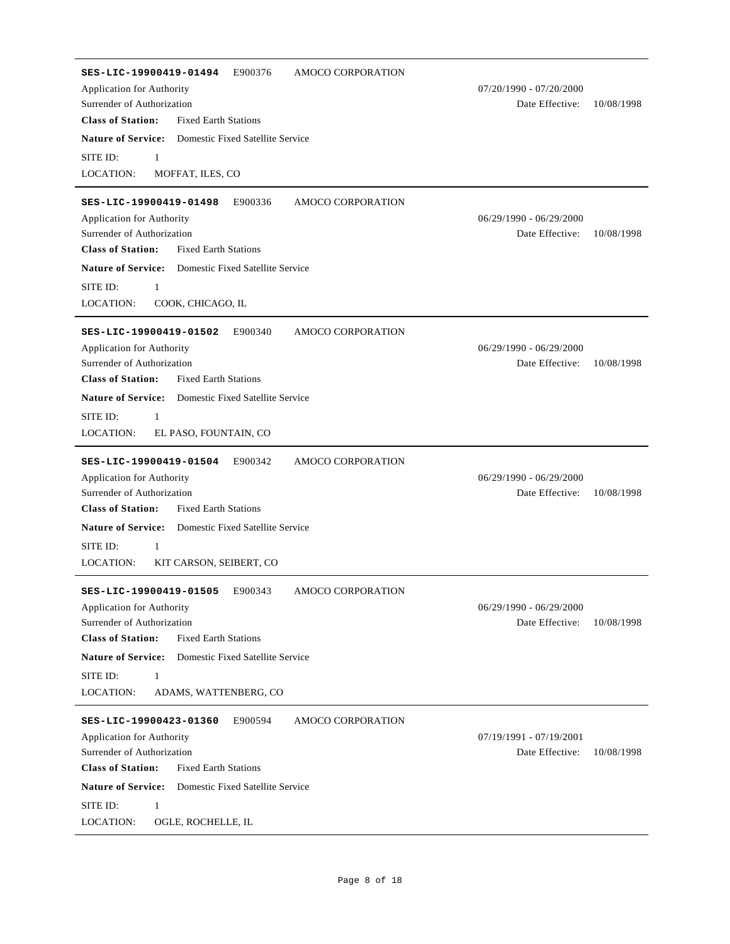| SES-LIC-19900419-01494<br>E900376<br>AMOCO CORPORATION<br>Application for Authority<br>Surrender of Authorization<br><b>Class of Station:</b><br><b>Fixed Earth Stations</b>        | $07/20/1990 - 07/20/2000$<br>Date Effective: | 10/08/1998 |
|-------------------------------------------------------------------------------------------------------------------------------------------------------------------------------------|----------------------------------------------|------------|
| <b>Nature of Service:</b><br>Domestic Fixed Satellite Service<br>SITE ID:<br>$\mathbf{1}$                                                                                           |                                              |            |
| LOCATION:<br>MOFFAT, ILES, CO                                                                                                                                                       |                                              |            |
| E900336<br>SES-LIC-19900419-01498<br>AMOCO CORPORATION<br>Application for Authority<br>Surrender of Authorization<br><b>Class of Station:</b><br><b>Fixed Earth Stations</b>        | $06/29/1990 - 06/29/2000$<br>Date Effective: | 10/08/1998 |
| <b>Nature of Service:</b> Domestic Fixed Satellite Service                                                                                                                          |                                              |            |
| SITE ID:<br>1<br><b>LOCATION:</b><br>COOK, CHICAGO, IL                                                                                                                              |                                              |            |
| SES-LIC-19900419-01502<br>E900340<br>AMOCO CORPORATION<br>Application for Authority<br>Surrender of Authorization<br><b>Class of Station:</b><br><b>Fixed Earth Stations</b>        | $06/29/1990 - 06/29/2000$<br>Date Effective: | 10/08/1998 |
| <b>Nature of Service:</b><br>Domestic Fixed Satellite Service<br>SITE ID:<br>$\mathbf{1}$<br>LOCATION:<br>EL PASO, FOUNTAIN, CO                                                     |                                              |            |
| E900342<br>AMOCO CORPORATION<br>SES-LIC-19900419-01504<br>Application for Authority<br>Surrender of Authorization<br><b>Class of Station:</b><br><b>Fixed Earth Stations</b>        | $06/29/1990 - 06/29/2000$<br>Date Effective: | 10/08/1998 |
| <b>Nature of Service:</b><br>Domestic Fixed Satellite Service                                                                                                                       |                                              |            |
| SITE ID:<br>1<br>LOCATION:<br>KIT CARSON, SEIBERT, CO                                                                                                                               |                                              |            |
| E900343<br>AMOCO CORPORATION<br>SES-LIC-19900419-01505<br>Application for Authority<br>Surrender of Authorization<br><b>Class of Station:</b><br><b>Fixed Earth Stations</b>        | $06/29/1990 - 06/29/2000$<br>Date Effective: | 10/08/1998 |
| <b>Nature of Service:</b><br>Domestic Fixed Satellite Service                                                                                                                       |                                              |            |
| SITE ID:<br>$\mathbf{1}$<br><b>LOCATION:</b><br>ADAMS, WATTENBERG, CO                                                                                                               |                                              |            |
| SES-LIC-19900423-01360<br>E900594<br><b>AMOCO CORPORATION</b><br>Application for Authority<br>Surrender of Authorization<br><b>Class of Station:</b><br><b>Fixed Earth Stations</b> | 07/19/1991 - 07/19/2001<br>Date Effective:   | 10/08/1998 |
| <b>Nature of Service:</b> Domestic Fixed Satellite Service<br>SITE ID:<br>1<br>LOCATION:<br>OGLE, ROCHELLE, IL                                                                      |                                              |            |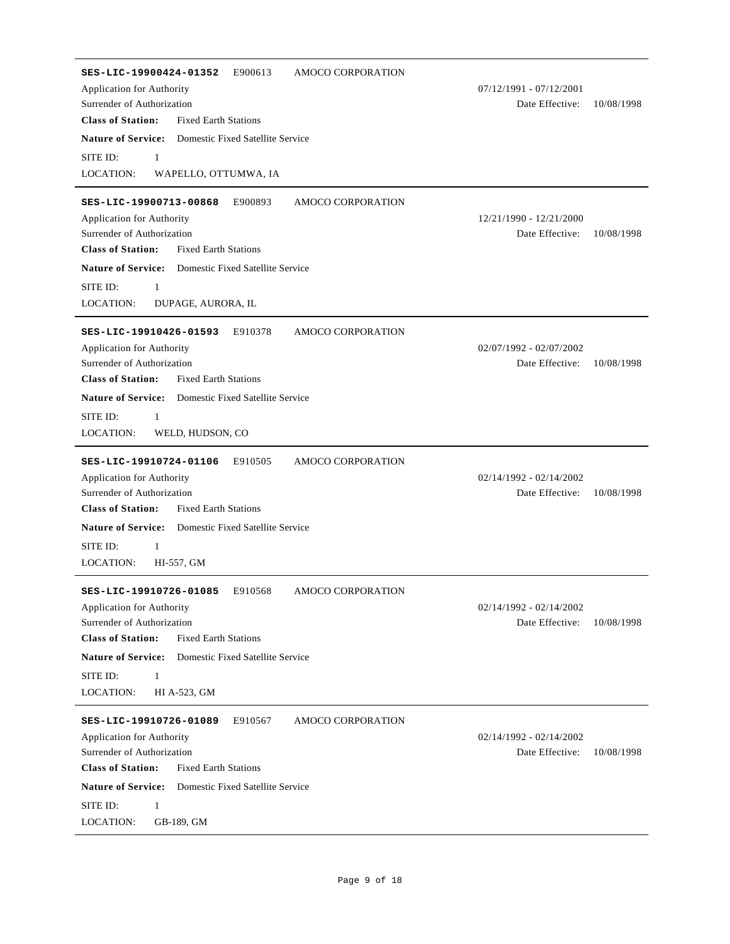| SES-LIC-19900424-01352<br>AMOCO CORPORATION<br>E900613<br>Application for Authority<br>Surrender of Authorization<br><b>Class of Station:</b><br><b>Fixed Earth Stations</b>                                                                                                                             | $07/12/1991 - 07/12/2001$<br>Date Effective: | 10/08/1998 |
|----------------------------------------------------------------------------------------------------------------------------------------------------------------------------------------------------------------------------------------------------------------------------------------------------------|----------------------------------------------|------------|
| <b>Nature of Service:</b><br>Domestic Fixed Satellite Service<br>SITE ID:<br>1<br>LOCATION:<br>WAPELLO, OTTUMWA, IA                                                                                                                                                                                      |                                              |            |
| SES-LIC-19900713-00868<br>E900893<br>AMOCO CORPORATION<br>Application for Authority<br>Surrender of Authorization<br><b>Class of Station:</b><br><b>Fixed Earth Stations</b><br><b>Nature of Service:</b><br><b>Domestic Fixed Satellite Service</b><br>SITE ID:<br>1<br>LOCATION:<br>DUPAGE, AURORA, IL | 12/21/1990 - 12/21/2000<br>Date Effective:   | 10/08/1998 |
| SES-LIC-19910426-01593<br>E910378<br>AMOCO CORPORATION<br>Application for Authority<br>Surrender of Authorization<br><b>Class of Station:</b><br><b>Fixed Earth Stations</b><br><b>Nature of Service:</b><br>Domestic Fixed Satellite Service<br>SITE ID:<br>1<br>LOCATION:<br>WELD, HUDSON, CO          | $02/07/1992 - 02/07/2002$<br>Date Effective: | 10/08/1998 |
| E910505<br>AMOCO CORPORATION<br>SES-LIC-19910724-01106<br>Application for Authority<br>Surrender of Authorization<br><b>Class of Station:</b><br><b>Fixed Earth Stations</b><br><b>Nature of Service:</b><br><b>Domestic Fixed Satellite Service</b><br>SITE ID:<br>1<br>LOCATION:<br>HI-557, GM         | $02/14/1992 - 02/14/2002$<br>Date Effective: | 10/08/1998 |
| E910568<br>AMOCO CORPORATION<br>SES-LIC-19910726-01085<br>Application for Authority<br>Surrender of Authorization<br><b>Class of Station:</b><br><b>Fixed Earth Stations</b><br><b>Nature of Service:</b><br>Domestic Fixed Satellite Service<br>SITE ID:<br>1<br>LOCATION:<br>HI A-523, GM              | $02/14/1992 - 02/14/2002$<br>Date Effective: | 10/08/1998 |
| E910567<br>AMOCO CORPORATION<br>SES-LIC-19910726-01089<br>Application for Authority<br>Surrender of Authorization<br><b>Class of Station:</b><br><b>Fixed Earth Stations</b><br><b>Nature of Service:</b><br>Domestic Fixed Satellite Service<br>SITE ID:<br>1<br>LOCATION:<br>GB-189, GM                | $02/14/1992 - 02/14/2002$<br>Date Effective: | 10/08/1998 |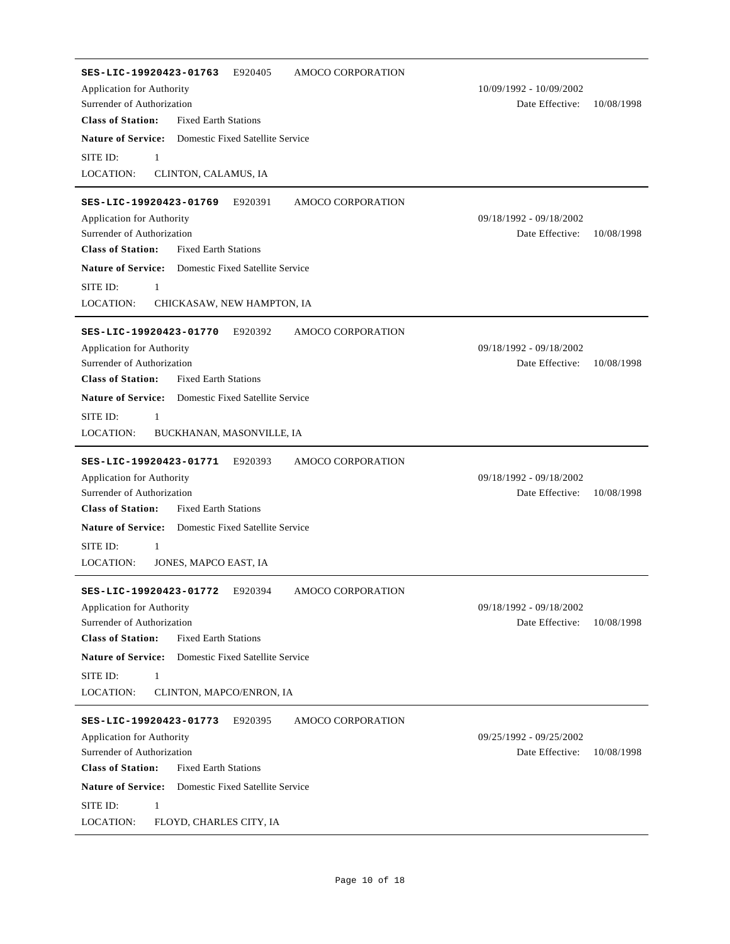| SES-LIC-19920423-01763<br>E920405<br>AMOCO CORPORATION<br>Application for Authority<br>Surrender of Authorization<br><b>Class of Station:</b><br><b>Fixed Earth Stations</b>                                                                                                                                                     | 10/09/1992 - 10/09/2002<br>Date Effective: | 10/08/1998 |
|----------------------------------------------------------------------------------------------------------------------------------------------------------------------------------------------------------------------------------------------------------------------------------------------------------------------------------|--------------------------------------------|------------|
| <b>Nature of Service:</b> Domestic Fixed Satellite Service<br>SITE ID:<br>$\mathbf{1}$<br>LOCATION:<br>CLINTON, CALAMUS, IA                                                                                                                                                                                                      |                                            |            |
| SES-LIC-19920423-01769<br>E920391<br>AMOCO CORPORATION<br>Application for Authority<br>Surrender of Authorization<br><b>Class of Station:</b><br><b>Fixed Earth Stations</b><br><b>Nature of Service:</b><br>Domestic Fixed Satellite Service<br>SITE ID:<br>$\mathbf{1}$<br><b>LOCATION:</b><br>CHICKASAW, NEW HAMPTON, IA      | 09/18/1992 - 09/18/2002<br>Date Effective: | 10/08/1998 |
| AMOCO CORPORATION<br>SES-LIC-19920423-01770<br>E920392<br>Application for Authority<br>Surrender of Authorization<br><b>Class of Station:</b><br><b>Fixed Earth Stations</b><br><b>Nature of Service:</b><br>Domestic Fixed Satellite Service<br>SITE ID:<br>1<br>LOCATION:<br>BUCKHANAN, MASONVILLE, IA                         | 09/18/1992 - 09/18/2002<br>Date Effective: | 10/08/1998 |
| SES-LIC-19920423-01771<br>E920393<br>AMOCO CORPORATION<br>Application for Authority<br>Surrender of Authorization<br><b>Class of Station:</b><br><b>Fixed Earth Stations</b><br><b>Nature of Service:</b><br>Domestic Fixed Satellite Service<br>SITE ID:<br>$\mathbf{1}$<br><b>LOCATION:</b><br>JONES, MAPCO EAST, IA           | 09/18/1992 - 09/18/2002<br>Date Effective: | 10/08/1998 |
| E920394<br><b>AMOCO CORPORATION</b><br>SES-LIC-19920423-01772<br>Application for Authority<br>Surrender of Authorization<br><b>Class of Station:</b><br><b>Fixed Earth Stations</b><br><b>Nature of Service:</b><br>Domestic Fixed Satellite Service<br>SITE ID:<br>$\mathbf{1}$<br><b>LOCATION:</b><br>CLINTON, MAPCO/ENRON, IA | 09/18/1992 - 09/18/2002<br>Date Effective: | 10/08/1998 |
| SES-LIC-19920423-01773<br>E920395<br>AMOCO CORPORATION<br>Application for Authority<br>Surrender of Authorization<br><b>Class of Station:</b><br><b>Fixed Earth Stations</b><br><b>Nature of Service:</b><br>Domestic Fixed Satellite Service<br>SITE ID:<br>1<br>LOCATION:<br>FLOYD, CHARLES CITY, IA                           | 09/25/1992 - 09/25/2002<br>Date Effective: | 10/08/1998 |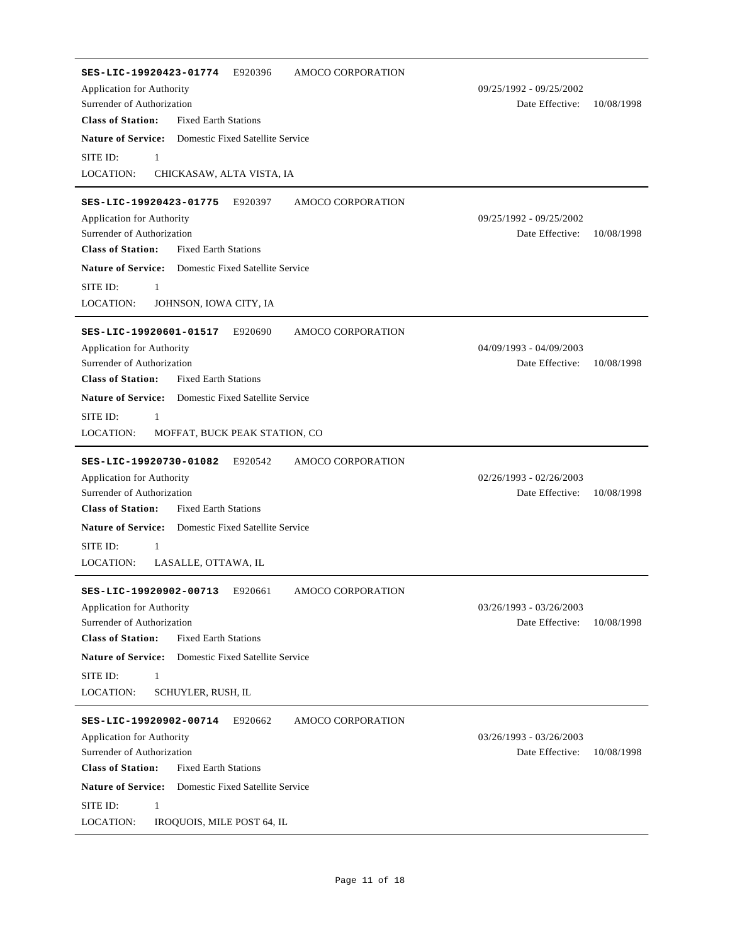**SES-LIC-19920423-01774** E920396 AMOCO CORPORATION Date Effective: 10/08/1998 **Class of Station:** Surrender of Authorization Fixed Earth Stations Application for Authority 09/25/1992 - 09/25/2002 **Nature of Service:** Domestic Fixed Satellite Service LOCATION: SITE ID: 1 CHICKASAW, ALTA VISTA, IA **SES-LIC-19920423-01775** E920397 AMOCO CORPORATION Date Effective: 10/08/1998 **Class of Station:** Surrender of Authorization Fixed Earth Stations Application for Authority 09/25/1992 - 09/25/2002 **Nature of Service:** Domestic Fixed Satellite Service LOCATION: SITE ID: 1 JOHNSON, IOWA CITY, IA **SES-LIC-19920601-01517** E920690 AMOCO CORPORATION Date Effective: 10/08/1998 **Class of Station:** Surrender of Authorization Fixed Earth Stations Application for Authority 04/09/1993 - 04/09/2003 **Nature of Service:** Domestic Fixed Satellite Service LOCATION: SITE ID: 1 MOFFAT, BUCK PEAK STATION, CO **SES-LIC-19920730-01082** E920542 AMOCO CORPORATION Date Effective: 10/08/1998 **Class of Station:** Surrender of Authorization Fixed Earth Stations Application for Authority 02/26/1993 - 02/26/2003 **Nature of Service:** Domestic Fixed Satellite Service LOCATION: SITE ID: 1 LASALLE, OTTAWA, IL **SES-LIC-19920902-00713** E920661 AMOCO CORPORATION Date Effective: 10/08/1998 **Class of Station:** Surrender of Authorization Fixed Earth Stations Application for Authority 03/26/1993 - 03/26/2003 **Nature of Service:** Domestic Fixed Satellite Service LOCATION: SITE ID: 1 SCHUYLER, RUSH, IL **SES-LIC-19920902-00714** E920662 AMOCO CORPORATION Date Effective: 10/08/1998 **Class of Station:** Surrender of Authorization Fixed Earth Stations Application for Authority 03/26/1993 - 03/26/2003 **Nature of Service:** Domestic Fixed Satellite Service LOCATION: SITE ID: 1 IROQUOIS, MILE POST 64, IL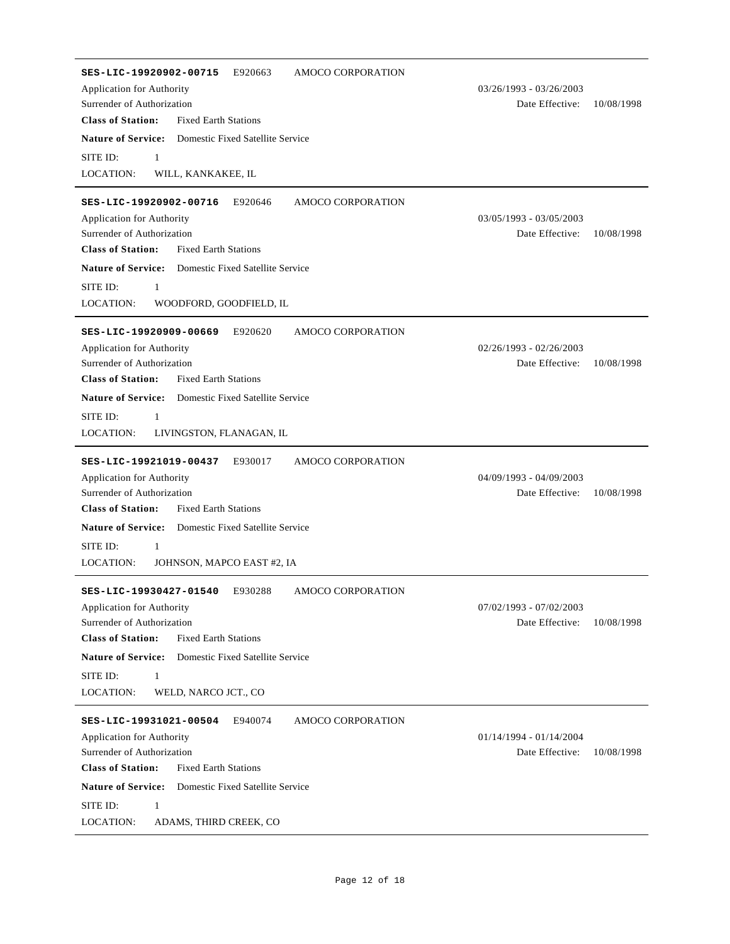| E920663<br>AMOCO CORPORATION<br>SES-LIC-19920902-00715<br>Application for Authority<br>Surrender of Authorization<br><b>Class of Station:</b><br><b>Fixed Earth Stations</b>                                                                         | 03/26/1993 - 03/26/2003<br>Date Effective:   | 10/08/1998 |
|------------------------------------------------------------------------------------------------------------------------------------------------------------------------------------------------------------------------------------------------------|----------------------------------------------|------------|
| <b>Nature of Service:</b> Domestic Fixed Satellite Service<br>SITE ID:<br>$\mathbf{1}$<br>LOCATION:<br>WILL, KANKAKEE, IL                                                                                                                            |                                              |            |
| E920646<br>SES-LIC-19920902-00716<br>AMOCO CORPORATION<br>Application for Authority<br>Surrender of Authorization<br><b>Class of Station:</b><br><b>Fixed Earth Stations</b><br><b>Nature of Service:</b><br><b>Domestic Fixed Satellite Service</b> | 03/05/1993 - 03/05/2003<br>Date Effective:   | 10/08/1998 |
| SITE ID:<br>$\mathbf{1}$<br><b>LOCATION:</b><br>WOODFORD, GOODFIELD, IL                                                                                                                                                                              |                                              |            |
| SES-LIC-19920909-00669<br>E920620<br>AMOCO CORPORATION<br>Application for Authority<br>Surrender of Authorization<br><b>Class of Station:</b><br><b>Fixed Earth Stations</b>                                                                         | $02/26/1993 - 02/26/2003$<br>Date Effective: | 10/08/1998 |
| <b>Nature of Service:</b> Domestic Fixed Satellite Service<br>SITE ID:<br>1<br>LOCATION:<br>LIVINGSTON, FLANAGAN, IL                                                                                                                                 |                                              |            |
| AMOCO CORPORATION<br>SES-LIC-19921019-00437<br>E930017<br>Application for Authority<br>Surrender of Authorization<br><b>Class of Station:</b><br><b>Fixed Earth Stations</b>                                                                         | 04/09/1993 - 04/09/2003<br>Date Effective:   | 10/08/1998 |
| <b>Nature of Service:</b><br>Domestic Fixed Satellite Service<br>SITE ID:<br>1<br><b>LOCATION:</b><br>JOHNSON, MAPCO EAST #2, IA                                                                                                                     |                                              |            |
| SES-LIC-19930427-01540<br>E930288<br>AMOCO CORPORATION<br>Application for Authority<br>Surrender of Authorization<br><b>Class of Station:</b><br><b>Fixed Earth Stations</b>                                                                         | 07/02/1993 - 07/02/2003<br>Date Effective:   | 10/08/1998 |
| <b>Nature of Service:</b><br>Domestic Fixed Satellite Service<br>SITE ID:<br>$\mathbf{1}$<br><b>LOCATION:</b><br>WELD, NARCO JCT., CO                                                                                                                |                                              |            |
| SES-LIC-19931021-00504<br>E940074<br>AMOCO CORPORATION<br>Application for Authority<br>Surrender of Authorization<br><b>Class of Station:</b><br><b>Fixed Earth Stations</b>                                                                         | $01/14/1994 - 01/14/2004$<br>Date Effective: | 10/08/1998 |
| <b>Nature of Service:</b> Domestic Fixed Satellite Service<br>SITE ID:<br>1<br>LOCATION:<br>ADAMS, THIRD CREEK, CO                                                                                                                                   |                                              |            |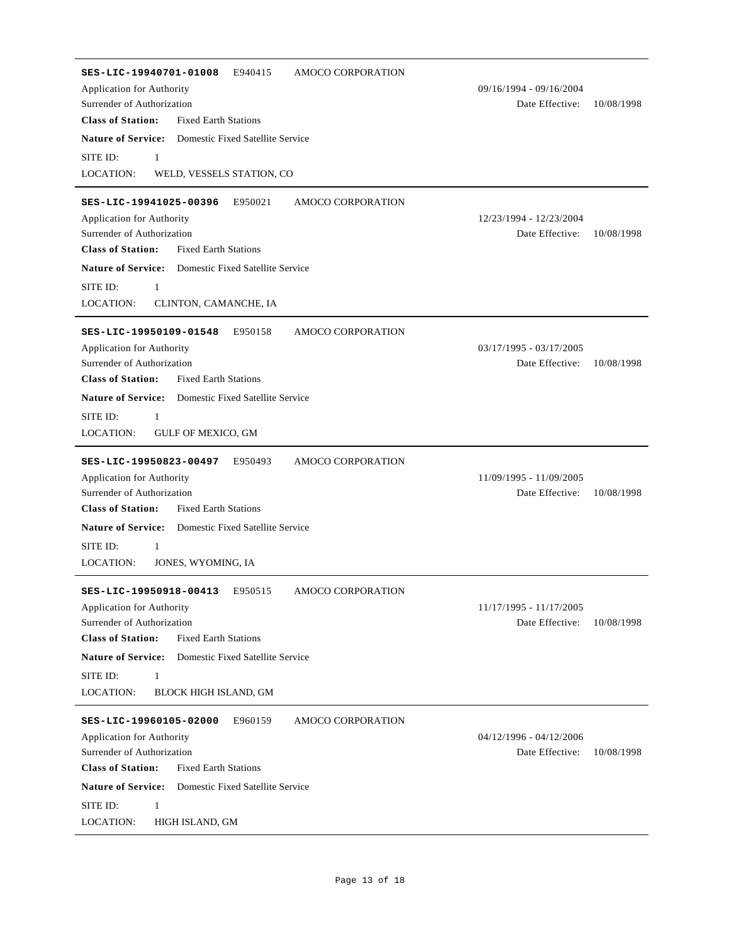| AMOCO CORPORATION<br>SES-LIC-19940701-01008<br>E940415        |                               |
|---------------------------------------------------------------|-------------------------------|
| Application for Authority                                     | 09/16/1994 - 09/16/2004       |
| Surrender of Authorization                                    | Date Effective:<br>10/08/1998 |
| <b>Class of Station:</b><br><b>Fixed Earth Stations</b>       |                               |
| <b>Nature of Service:</b><br>Domestic Fixed Satellite Service |                               |
| SITE ID:<br>1                                                 |                               |
| <b>LOCATION:</b><br>WELD, VESSELS STATION, CO                 |                               |
|                                                               |                               |
| SES-LIC-19941025-00396<br>E950021<br>AMOCO CORPORATION        | 12/23/1994 - 12/23/2004       |
| Application for Authority<br>Surrender of Authorization       | Date Effective:<br>10/08/1998 |
| <b>Class of Station:</b><br><b>Fixed Earth Stations</b>       |                               |
| <b>Nature of Service:</b> Domestic Fixed Satellite Service    |                               |
| SITE ID:<br>1                                                 |                               |
| LOCATION:<br>CLINTON, CAMANCHE, IA                            |                               |
|                                                               |                               |
| SES-LIC-19950109-01548<br>E950158<br>AMOCO CORPORATION        |                               |
| Application for Authority                                     | $03/17/1995 - 03/17/2005$     |
| Surrender of Authorization                                    | Date Effective:<br>10/08/1998 |
| <b>Class of Station:</b><br><b>Fixed Earth Stations</b>       |                               |
| <b>Nature of Service:</b><br>Domestic Fixed Satellite Service |                               |
| SITE ID:<br>1                                                 |                               |
| <b>LOCATION:</b><br>GULF OF MEXICO, GM                        |                               |
| SES-LIC-19950823-00497<br>E950493<br>AMOCO CORPORATION        |                               |
| Application for Authority                                     | 11/09/1995 - 11/09/2005       |
| Surrender of Authorization                                    | Date Effective:<br>10/08/1998 |
| <b>Class of Station:</b><br><b>Fixed Earth Stations</b>       |                               |
| <b>Nature of Service:</b><br>Domestic Fixed Satellite Service |                               |
| SITE ID:<br>1                                                 |                               |
| <b>LOCATION:</b><br>JONES, WYOMING, IA                        |                               |
|                                                               |                               |
| E950515<br>AMOCO CORPORATION<br>SES-LIC-19950918-00413        |                               |
| Application for Authority                                     | 11/17/1995 - 11/17/2005       |
| Surrender of Authorization                                    | Date Effective:<br>10/08/1998 |
| <b>Class of Station:</b><br><b>Fixed Earth Stations</b>       |                               |
| <b>Nature of Service:</b><br>Domestic Fixed Satellite Service |                               |
| SITE ID:<br>$\mathbf{1}$                                      |                               |
| <b>LOCATION:</b><br><b>BLOCK HIGH ISLAND, GM</b>              |                               |
| SES-LIC-19960105-02000<br>E960159<br>AMOCO CORPORATION        |                               |
| Application for Authority                                     | 04/12/1996 - 04/12/2006       |
| Surrender of Authorization                                    | Date Effective:<br>10/08/1998 |
| <b>Class of Station:</b><br><b>Fixed Earth Stations</b>       |                               |
| <b>Nature of Service:</b><br>Domestic Fixed Satellite Service |                               |
| SITE ID:<br>$\mathbf{1}$                                      |                               |
|                                                               |                               |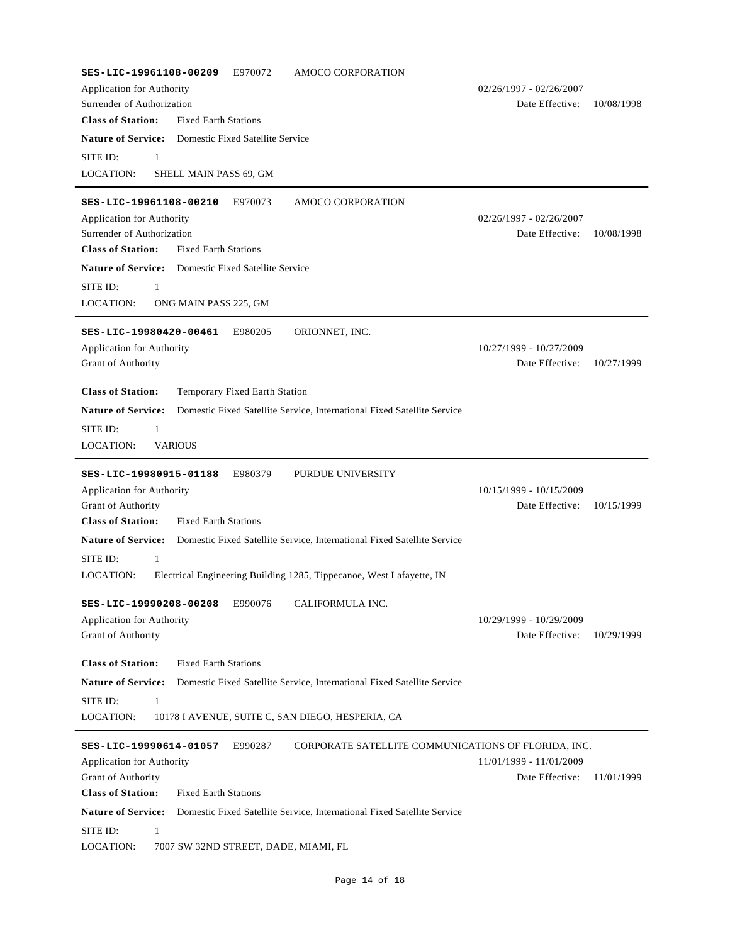| SES-LIC-19961108-00209<br>E970072<br>AMOCO CORPORATION                                               |                           |            |
|------------------------------------------------------------------------------------------------------|---------------------------|------------|
| Application for Authority                                                                            | $02/26/1997 - 02/26/2007$ |            |
| Surrender of Authorization<br><b>Class of Station:</b><br><b>Fixed Earth Stations</b>                | Date Effective:           | 10/08/1998 |
| <b>Nature of Service:</b>                                                                            |                           |            |
| Domestic Fixed Satellite Service                                                                     |                           |            |
| SITE ID:<br>$\mathbf{1}$<br>LOCATION:<br>SHELL MAIN PASS 69, GM                                      |                           |            |
|                                                                                                      |                           |            |
| SES-LIC-19961108-00210<br>E970073<br><b>AMOCO CORPORATION</b>                                        |                           |            |
| Application for Authority                                                                            | 02/26/1997 - 02/26/2007   |            |
| Surrender of Authorization                                                                           | Date Effective:           | 10/08/1998 |
| <b>Class of Station:</b><br><b>Fixed Earth Stations</b>                                              |                           |            |
| <b>Nature of Service:</b><br>Domestic Fixed Satellite Service                                        |                           |            |
| SITE ID:<br>$\mathbf{1}$                                                                             |                           |            |
| LOCATION:<br>ONG MAIN PASS 225, GM                                                                   |                           |            |
| SES-LIC-19980420-00461<br>E980205<br>ORIONNET, INC.                                                  |                           |            |
| Application for Authority                                                                            | 10/27/1999 - 10/27/2009   |            |
| Grant of Authority                                                                                   | Date Effective:           | 10/27/1999 |
|                                                                                                      |                           |            |
| <b>Class of Station:</b><br>Temporary Fixed Earth Station                                            |                           |            |
| <b>Nature of Service:</b><br>Domestic Fixed Satellite Service, International Fixed Satellite Service |                           |            |
| SITE ID:<br>$\mathbf{1}$                                                                             |                           |            |
| LOCATION:<br><b>VARIOUS</b>                                                                          |                           |            |
| SES-LIC-19980915-01188<br>E980379<br>PURDUE UNIVERSITY                                               |                           |            |
| Application for Authority                                                                            | 10/15/1999 - 10/15/2009   |            |
| Grant of Authority                                                                                   | Date Effective:           | 10/15/1999 |
| <b>Class of Station:</b><br><b>Fixed Earth Stations</b>                                              |                           |            |
| <b>Nature of Service:</b><br>Domestic Fixed Satellite Service, International Fixed Satellite Service |                           |            |
| SITE ID:<br>$\mathbf{1}$                                                                             |                           |            |
| Electrical Engineering Building 1285, Tippecanoe, West Lafayette, IN<br>LOCATION:                    |                           |            |
| SES-LIC-19990208-00208<br>E990076<br>CALIFORMULA INC.                                                |                           |            |
| Application for Authority                                                                            | 10/29/1999 - 10/29/2009   |            |
| Grant of Authority                                                                                   | Date Effective:           | 10/29/1999 |
|                                                                                                      |                           |            |
| <b>Class of Station:</b><br><b>Fixed Earth Stations</b>                                              |                           |            |
| <b>Nature of Service:</b><br>Domestic Fixed Satellite Service, International Fixed Satellite Service |                           |            |
| SITE ID:<br>1                                                                                        |                           |            |
| LOCATION:<br>10178 I AVENUE, SUITE C, SAN DIEGO, HESPERIA, CA                                        |                           |            |
| CORPORATE SATELLITE COMMUNICATIONS OF FLORIDA, INC.<br>SES-LIC-19990614-01057<br>E990287             |                           |            |
| Application for Authority                                                                            | 11/01/1999 - 11/01/2009   |            |
| Grant of Authority                                                                                   | Date Effective:           | 11/01/1999 |
| <b>Class of Station:</b><br><b>Fixed Earth Stations</b>                                              |                           |            |
| <b>Nature of Service:</b><br>Domestic Fixed Satellite Service, International Fixed Satellite Service |                           |            |
| SITE ID:<br>1                                                                                        |                           |            |
| LOCATION:<br>7007 SW 32ND STREET, DADE, MIAMI, FL                                                    |                           |            |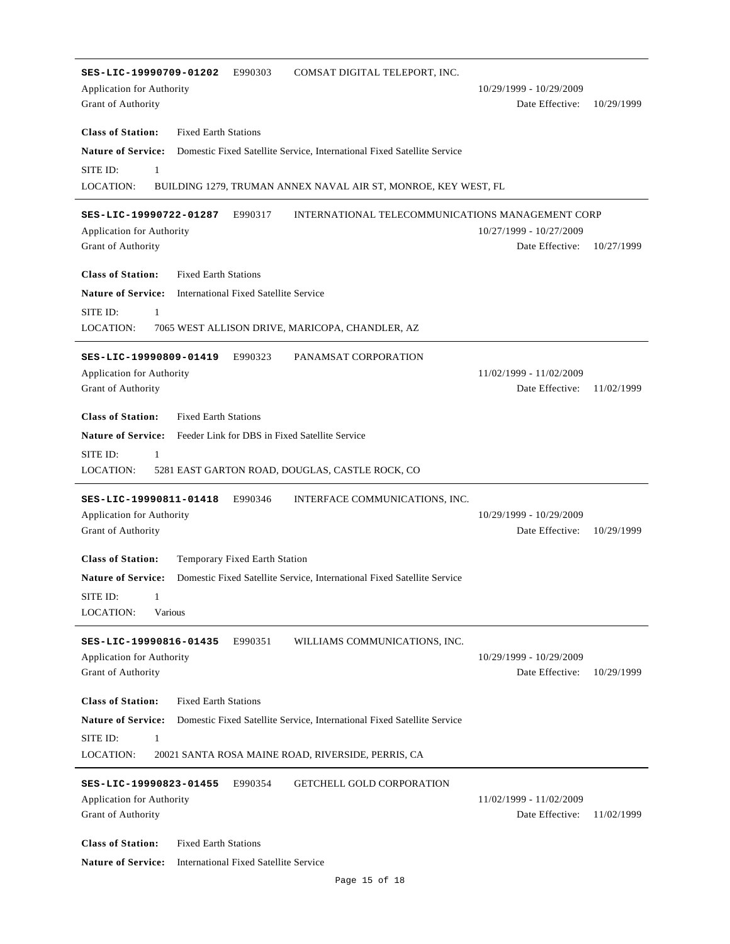| SES-LIC-19990709-01202<br>E990303<br>COMSAT DIGITAL TELEPORT, INC.                                   |                                            |            |
|------------------------------------------------------------------------------------------------------|--------------------------------------------|------------|
| Application for Authority                                                                            | 10/29/1999 - 10/29/2009                    |            |
| Grant of Authority                                                                                   | Date Effective:                            | 10/29/1999 |
| <b>Class of Station:</b><br><b>Fixed Earth Stations</b>                                              |                                            |            |
| <b>Nature of Service:</b><br>Domestic Fixed Satellite Service, International Fixed Satellite Service |                                            |            |
| SITE ID:<br>$\mathbf{1}$                                                                             |                                            |            |
| LOCATION:<br>BUILDING 1279, TRUMAN ANNEX NAVAL AIR ST, MONROE, KEY WEST, FL                          |                                            |            |
|                                                                                                      |                                            |            |
| INTERNATIONAL TELECOMMUNICATIONS MANAGEMENT CORP<br>SES-LIC-19990722-01287<br>E990317                |                                            |            |
| <b>Application for Authority</b>                                                                     | 10/27/1999 - 10/27/2009                    |            |
| Grant of Authority                                                                                   | Date Effective:                            | 10/27/1999 |
| <b>Class of Station:</b><br><b>Fixed Earth Stations</b>                                              |                                            |            |
| <b>Nature of Service:</b><br>International Fixed Satellite Service                                   |                                            |            |
| SITE ID:<br>$\mathbf{1}$                                                                             |                                            |            |
| LOCATION:<br>7065 WEST ALLISON DRIVE, MARICOPA, CHANDLER, AZ                                         |                                            |            |
|                                                                                                      |                                            |            |
| SES-LIC-19990809-01419<br>E990323<br>PANAMSAT CORPORATION                                            |                                            |            |
| Application for Authority<br>Grant of Authority                                                      | 11/02/1999 - 11/02/2009<br>Date Effective: | 11/02/1999 |
|                                                                                                      |                                            |            |
| <b>Class of Station:</b><br><b>Fixed Earth Stations</b>                                              |                                            |            |
| <b>Nature of Service:</b><br>Feeder Link for DBS in Fixed Satellite Service                          |                                            |            |
| SITE ID:<br>$\mathbf{1}$                                                                             |                                            |            |
| LOCATION:<br>5281 EAST GARTON ROAD, DOUGLAS, CASTLE ROCK, CO                                         |                                            |            |
| SES-LIC-19990811-01418<br>E990346<br>INTERFACE COMMUNICATIONS, INC.                                  |                                            |            |
| Application for Authority                                                                            | 10/29/1999 - 10/29/2009                    |            |
| Grant of Authority                                                                                   | Date Effective:                            | 10/29/1999 |
|                                                                                                      |                                            |            |
| <b>Class of Station:</b><br>Temporary Fixed Earth Station                                            |                                            |            |
| <b>Nature of Service:</b><br>Domestic Fixed Satellite Service, International Fixed Satellite Service |                                            |            |
| SITE ID:<br>- 1                                                                                      |                                            |            |
| LOCATION:<br>Various                                                                                 |                                            |            |
| E990351<br>WILLIAMS COMMUNICATIONS, INC.<br>SES-LIC-19990816-01435                                   |                                            |            |
| Application for Authority                                                                            | 10/29/1999 - 10/29/2009                    |            |
| Grant of Authority                                                                                   | Date Effective:                            | 10/29/1999 |
|                                                                                                      |                                            |            |
| <b>Class of Station:</b><br><b>Fixed Earth Stations</b>                                              |                                            |            |
| <b>Nature of Service:</b><br>Domestic Fixed Satellite Service, International Fixed Satellite Service |                                            |            |
| SITE ID:<br>1                                                                                        |                                            |            |
| LOCATION:<br>20021 SANTA ROSA MAINE ROAD, RIVERSIDE, PERRIS, CA                                      |                                            |            |
| SES-LIC-19990823-01455<br>E990354<br><b>GETCHELL GOLD CORPORATION</b>                                |                                            |            |
| Application for Authority                                                                            | 11/02/1999 - 11/02/2009                    |            |
| Grant of Authority                                                                                   | Date Effective:                            | 11/02/1999 |
|                                                                                                      |                                            |            |
| <b>Class of Station:</b><br><b>Fixed Earth Stations</b>                                              |                                            |            |
| <b>Nature of Service:</b><br>International Fixed Satellite Service                                   |                                            |            |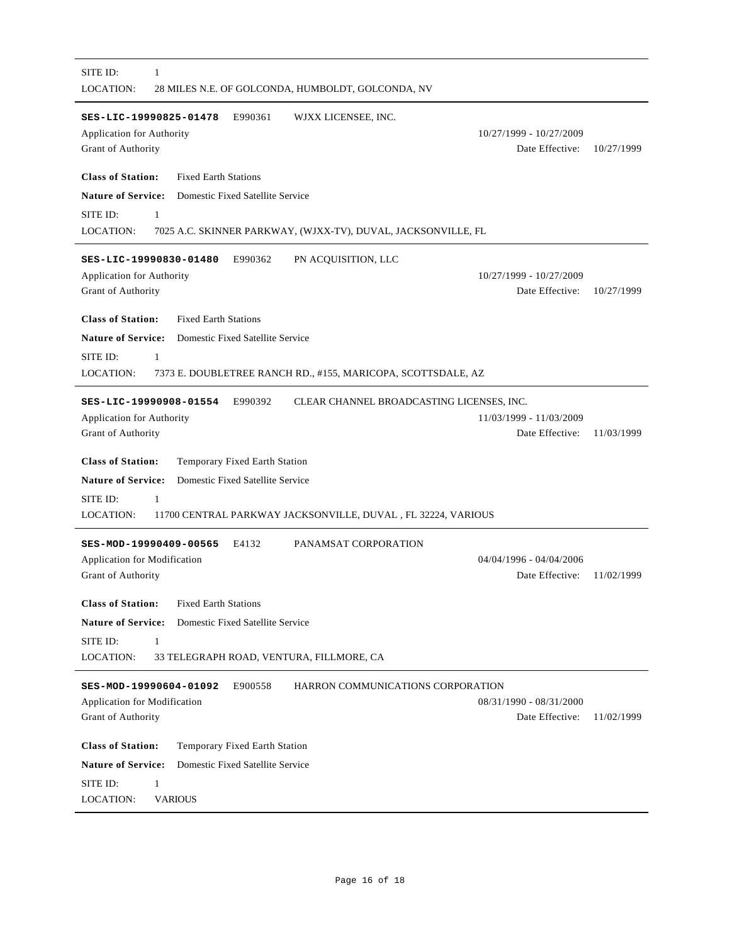| SES-LIC-19990825-01478<br>E990361<br>WJXX LICENSEE, INC.<br>Application for Authority<br>Grant of Authority | 10/27/1999 - 10/27/2009<br>Date Effective: | 10/27/1999 |
|-------------------------------------------------------------------------------------------------------------|--------------------------------------------|------------|
| <b>Class of Station:</b><br><b>Fixed Earth Stations</b>                                                     |                                            |            |
| <b>Nature of Service:</b><br>Domestic Fixed Satellite Service                                               |                                            |            |
| SITE ID:<br>1                                                                                               |                                            |            |
| LOCATION:<br>7025 A.C. SKINNER PARKWAY, (WJXX-TV), DUVAL, JACKSONVILLE, FL                                  |                                            |            |
| PN ACQUISITION, LLC<br>SES-LIC-19990830-01480<br>E990362                                                    |                                            |            |
| Application for Authority                                                                                   | 10/27/1999 - 10/27/2009                    |            |
| Grant of Authority                                                                                          | Date Effective:                            | 10/27/1999 |
| <b>Class of Station:</b><br><b>Fixed Earth Stations</b>                                                     |                                            |            |
| <b>Nature of Service:</b><br>Domestic Fixed Satellite Service                                               |                                            |            |
| SITE ID:<br>$\mathbf{1}$                                                                                    |                                            |            |
| <b>LOCATION:</b><br>7373 E. DOUBLETREE RANCH RD., #155, MARICOPA, SCOTTSDALE, AZ                            |                                            |            |
| SES-LIC-19990908-01554<br>E990392<br>CLEAR CHANNEL BROADCASTING LICENSES, INC.                              |                                            |            |
| Application for Authority                                                                                   | 11/03/1999 - 11/03/2009                    |            |
| Grant of Authority                                                                                          | Date Effective:                            | 11/03/1999 |
|                                                                                                             |                                            |            |
|                                                                                                             |                                            |            |
| <b>Class of Station:</b><br>Temporary Fixed Earth Station                                                   |                                            |            |
| Domestic Fixed Satellite Service<br><b>Nature of Service:</b>                                               |                                            |            |
| SITE ID:<br>$\mathbf{1}$<br>LOCATION:<br>11700 CENTRAL PARKWAY JACKSONVILLE, DUVAL, FL 32224, VARIOUS       |                                            |            |
|                                                                                                             |                                            |            |
| SES-MOD-19990409-00565<br>E4132<br>PANAMSAT CORPORATION                                                     | 04/04/1996 - 04/04/2006                    |            |
| Application for Modification<br>Grant of Authority                                                          | Date Effective:                            | 11/02/1999 |
|                                                                                                             |                                            |            |
| <b>Class of Station:</b><br><b>Fixed Earth Stations</b>                                                     |                                            |            |
| <b>Nature of Service:</b><br>Domestic Fixed Satellite Service                                               |                                            |            |
| SITE ID:<br>$\mathbf{1}$                                                                                    |                                            |            |
| <b>LOCATION:</b><br>33 TELEGRAPH ROAD, VENTURA, FILLMORE, CA                                                |                                            |            |
| HARRON COMMUNICATIONS CORPORATION<br>SES-MOD-19990604-01092<br>E900558                                      |                                            |            |
| Application for Modification                                                                                | 08/31/1990 - 08/31/2000                    |            |
| Grant of Authority                                                                                          | Date Effective:                            |            |
| <b>Class of Station:</b><br>Temporary Fixed Earth Station                                                   |                                            |            |
| <b>Nature of Service:</b><br>Domestic Fixed Satellite Service                                               |                                            | 11/02/1999 |
| SITE ID:<br>1                                                                                               |                                            |            |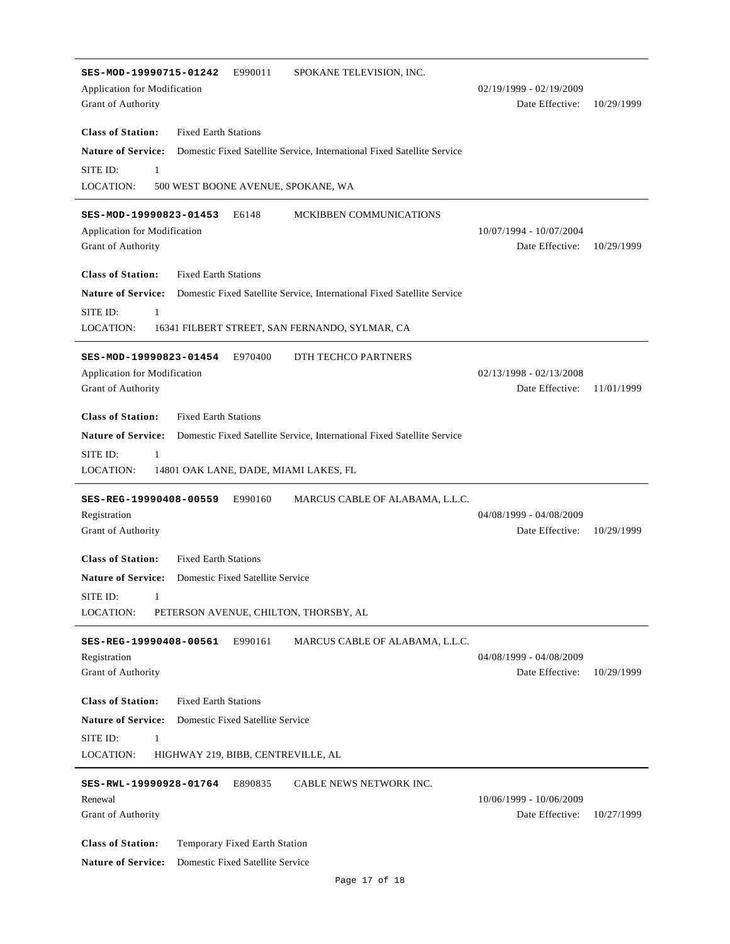| SES-MOD-19990715-01242<br>E990011<br>SPOKANE TELEVISION, INC.                                        |                                            |            |
|------------------------------------------------------------------------------------------------------|--------------------------------------------|------------|
| Application for Modification                                                                         | $02/19/1999 - 02/19/2009$                  |            |
| Grant of Authority                                                                                   | Date Effective:                            | 10/29/1999 |
|                                                                                                      |                                            |            |
| <b>Class of Station:</b><br><b>Fixed Earth Stations</b>                                              |                                            |            |
| <b>Nature of Service:</b><br>Domestic Fixed Satellite Service, International Fixed Satellite Service |                                            |            |
| SITE ID:<br>$\mathbf{1}$                                                                             |                                            |            |
| LOCATION:<br>500 WEST BOONE AVENUE, SPOKANE, WA                                                      |                                            |            |
|                                                                                                      |                                            |            |
| E6148<br>MCKIBBEN COMMUNICATIONS<br>SES-MOD-19990823-01453                                           |                                            |            |
| <b>Application for Modification</b>                                                                  | 10/07/1994 - 10/07/2004<br>Date Effective: |            |
| Grant of Authority                                                                                   |                                            | 10/29/1999 |
| <b>Class of Station:</b><br><b>Fixed Earth Stations</b>                                              |                                            |            |
| <b>Nature of Service:</b><br>Domestic Fixed Satellite Service, International Fixed Satellite Service |                                            |            |
| SITE ID:<br>$\mathbf{1}$                                                                             |                                            |            |
| LOCATION:<br>16341 FILBERT STREET, SAN FERNANDO, SYLMAR, CA                                          |                                            |            |
|                                                                                                      |                                            |            |
| SES-MOD-19990823-01454<br>E970400<br>DTH TECHCO PARTNERS                                             |                                            |            |
| Application for Modification                                                                         | $02/13/1998 - 02/13/2008$                  |            |
| Grant of Authority                                                                                   | Date Effective:                            | 11/01/1999 |
|                                                                                                      |                                            |            |
| <b>Class of Station:</b><br><b>Fixed Earth Stations</b>                                              |                                            |            |
| <b>Nature of Service:</b><br>Domestic Fixed Satellite Service, International Fixed Satellite Service |                                            |            |
| SITE ID:<br>1                                                                                        |                                            |            |
| LOCATION:<br>14801 OAK LANE, DADE, MIAMI LAKES, FL                                                   |                                            |            |
|                                                                                                      |                                            |            |
| E990160<br>MARCUS CABLE OF ALABAMA, L.L.C.<br>SES-REG-19990408-00559                                 |                                            |            |
| Registration                                                                                         | 04/08/1999 - 04/08/2009                    |            |
| Grant of Authority                                                                                   | Date Effective:                            | 10/29/1999 |
| <b>Class of Station:</b><br><b>Fixed Earth Stations</b>                                              |                                            |            |
| Nature of Service: Domestic Fixed Satellite Service                                                  |                                            |            |
| SITE ID:<br>1                                                                                        |                                            |            |
| LOCATION:<br>PETERSON AVENUE, CHILTON, THORSBY, AL                                                   |                                            |            |
|                                                                                                      |                                            |            |
| E990161<br>MARCUS CABLE OF ALABAMA, L.L.C.<br>SES-REG-19990408-00561                                 |                                            |            |
| Registration                                                                                         | 04/08/1999 - 04/08/2009                    |            |
| Grant of Authority                                                                                   | Date Effective:                            | 10/29/1999 |
|                                                                                                      |                                            |            |
| <b>Class of Station:</b><br><b>Fixed Earth Stations</b>                                              |                                            |            |
| <b>Nature of Service:</b><br>Domestic Fixed Satellite Service                                        |                                            |            |
| SITE ID:<br>1                                                                                        |                                            |            |
| <b>LOCATION:</b><br>HIGHWAY 219, BIBB, CENTREVILLE, AL                                               |                                            |            |
| E890835<br>CABLE NEWS NETWORK INC.<br>SES-RWL-19990928-01764                                         |                                            |            |
| Renewal                                                                                              | 10/06/1999 - 10/06/2009                    |            |
| Grant of Authority                                                                                   | Date Effective:                            | 10/27/1999 |
|                                                                                                      |                                            |            |
| <b>Class of Station:</b><br>Temporary Fixed Earth Station                                            |                                            |            |
| <b>Nature of Service:</b><br>Domestic Fixed Satellite Service                                        |                                            |            |
|                                                                                                      |                                            |            |